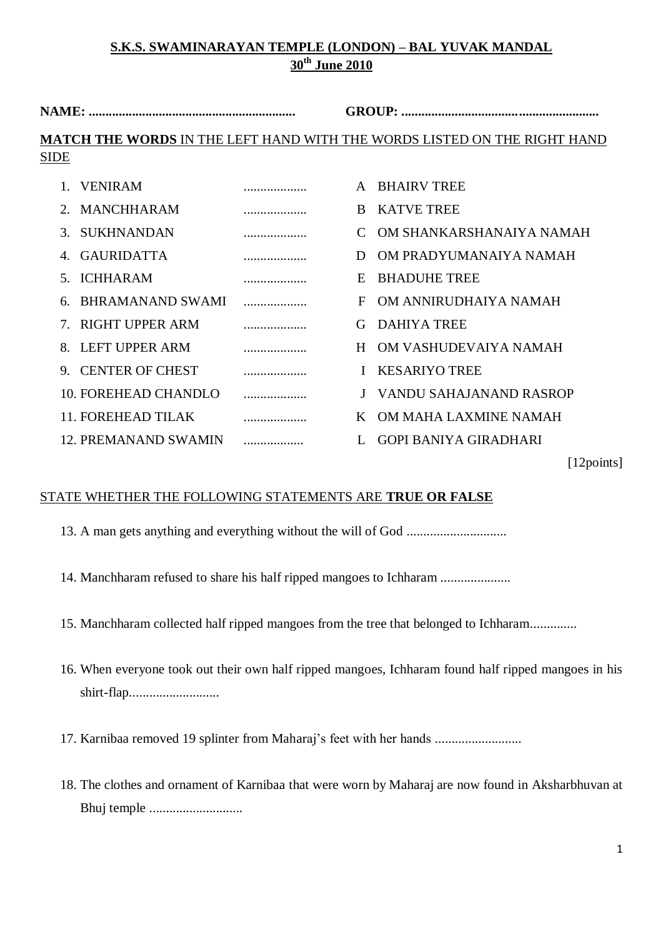| <b>NAME:</b>                                                                                   |                   |  | <b>GROUP:</b> |                          |  |  |  |  |  |  |
|------------------------------------------------------------------------------------------------|-------------------|--|---------------|--------------------------|--|--|--|--|--|--|
| <b>MATCH THE WORDS IN THE LEFT HAND WITH THE WORDS LISTED ON THE RIGHT HAND</b><br><b>SIDE</b> |                   |  |               |                          |  |  |  |  |  |  |
|                                                                                                |                   |  |               |                          |  |  |  |  |  |  |
|                                                                                                | <b>VENIRAM</b>    |  |               | <b>BHAIRV TREE</b>       |  |  |  |  |  |  |
| $2^{\circ}$                                                                                    | MANCHHARAM        |  | R.            | <b>KATVE TREE</b>        |  |  |  |  |  |  |
|                                                                                                | 3. SUKHNANDAN     |  |               | OM SHANKARSHANAIYA NAMAH |  |  |  |  |  |  |
| $\Delta$                                                                                       | <b>GAURIDATTA</b> |  | D             | OM PRADYUMANAIYA NAMAH   |  |  |  |  |  |  |
| $\sim$                                                                                         | <b>ICHHARAM</b>   |  | E             | <b>BHADUHE TREE</b>      |  |  |  |  |  |  |
| 6                                                                                              | BHRAMANAND SWAMI  |  | F             | OM ANNIRUDHAIYA NAMAH    |  |  |  |  |  |  |
|                                                                                                | RIGHT UPPER ARM   |  | G             | DAHIYA TREE              |  |  |  |  |  |  |

8. LEFT UPPER ARM ................... H OM VASHUDEVAIYA NAMAH 9. CENTER OF CHEST ................... I KESARIYO TREE 10. FOREHEAD CHANDLO ................... J VANDU SAHAJANAND RASROP 11. FOREHEAD TILAK ................... K OM MAHA LAXMINE NAMAH 12. PREMANAND SWAMIN .................. L GOPI BANIYA GIRADHARI

[12points]

## STATE WHETHER THE FOLLOWING STATEMENTS ARE **TRUE OR FALSE**

- 13. A man gets anything and everything without the will of God ..............................
- 14. Manchharam refused to share his half ripped mangoes to Ichharam .....................
- 15. Manchharam collected half ripped mangoes from the tree that belonged to Ichharam..............
- 16. When everyone took out their own half ripped mangoes, Ichharam found half ripped mangoes in his shirt-flap...........................
- 17. Karnibaa removed 19 splinter from Maharaj's feet with her hands ..........................
- 18. The clothes and ornament of Karnibaa that were worn by Maharaj are now found in Aksharbhuvan at Bhuj temple ............................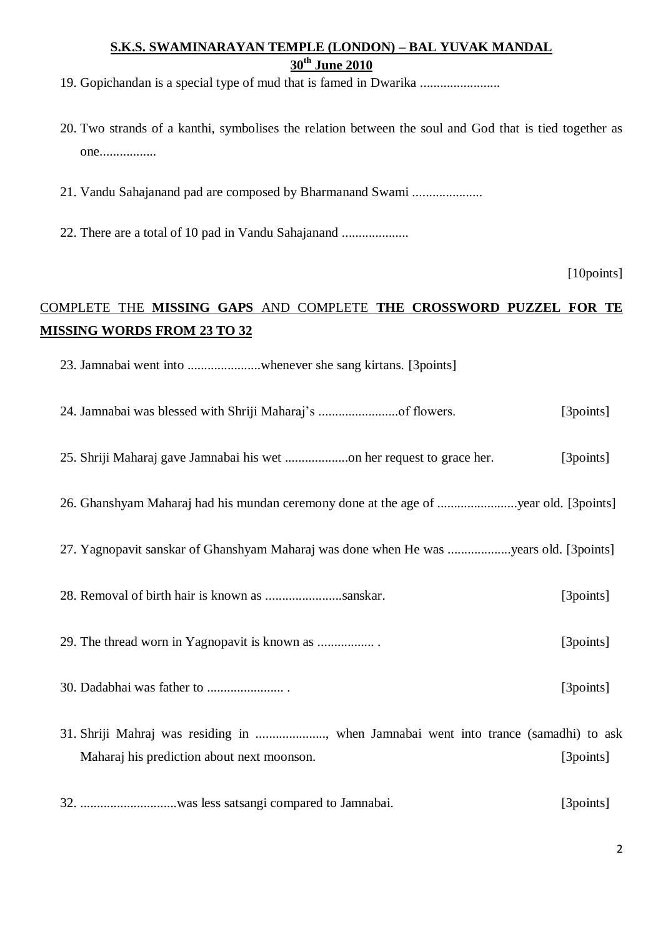19. Gopichandan is a special type of mud that is famed in Dwarika ........................

- 20. Two strands of a kanthi, symbolises the relation between the soul and God that is tied together as one.................
- 21. Vandu Sahajanand pad are composed by Bharmanand Swami .....................
- 22. There are a total of 10 pad in Vandu Sahajanand ....................

[10points]

# COMPLETE THE **MISSING GAPS** AND COMPLETE **THE CROSSWORD PUZZEL FOR TE MISSING WORDS FROM 23 TO 32**

- 23. Jamnabai went into ......................whenever she sang kirtans. [3points]
- 24. Jamnabai was blessed with Shriji Maharaj's ........................of flowers. [3points]
- 25. Shriji Maharaj gave Jamnabai his wet ...................on her request to grace her. [3points]
- 26. Ghanshyam Maharaj had his mundan ceremony done at the age of ........................year old. [3points]
- 27. Yagnopavit sanskar of Ghanshyam Maharaj was done when He was ...................years old. [3points]
- 28. Removal of birth hair is known as .......................sanskar. [3points]

29. The thread worn in Yagnopavit is known as ................. . [3points]

- 30. Dadabhai was father to ....................... . [3points]
- 31. Shriji Mahraj was residing in ....................., when Jamnabai went into trance (samadhi) to ask Maharaj his prediction about next moonson. [3points]

32. .............................was less satsangi compared to Jamnabai. [3points]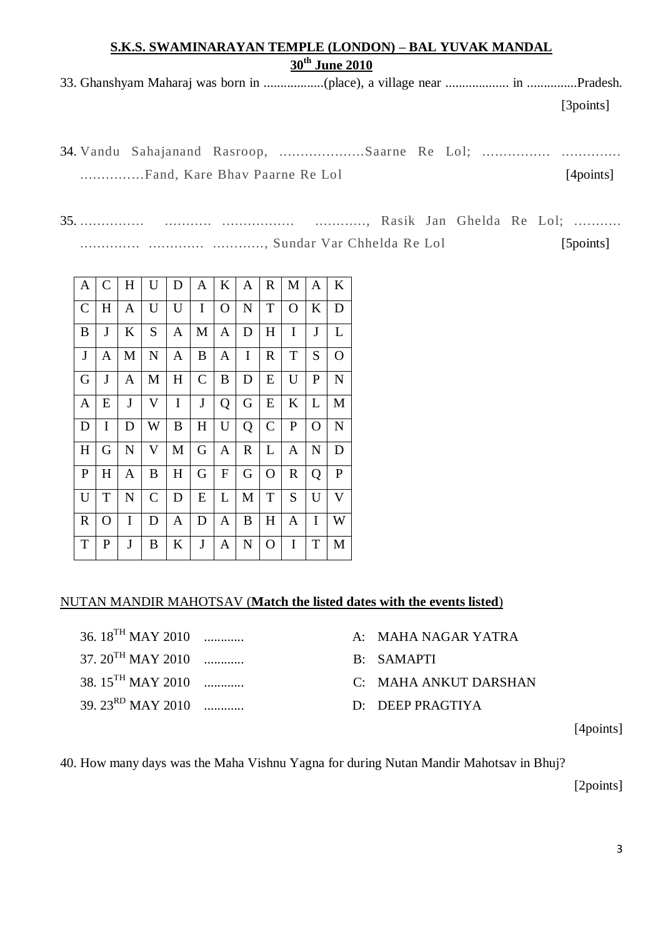|  | [3points] |
|--|-----------|

|  | 34. Vandu Sahajanand Rasroop, Saarne Re Lol; |  |           |
|--|----------------------------------------------|--|-----------|
|  |                                              |  | [4points] |

35. ............... ........... ................. ............, Rasik Jan Ghelda Re Lol; ........... .............. ............. ............, Sundar Var Chhelda Re Lol [5points]

| A             | C | H | U            | D         | A             | K            | A           | $\mathbf R$   | M            | Α            | K                       |
|---------------|---|---|--------------|-----------|---------------|--------------|-------------|---------------|--------------|--------------|-------------------------|
| $\mathcal{C}$ | H | A | U            | U         | I             | $\Omega$     | N           | T             | $\Omega$     | K            | D                       |
| B             | J | K | S            | A         | М             | A            | D           | H             | I            | J            | L                       |
| $\mathbf{J}$  | A | M | N            | A         | B             | A            | I           | R             | $\rm T$      | S            | $\mathbf O$             |
| G             | J | A | M            | H         | $\mathcal{C}$ | B            | D           | E             | U            | $\mathbf{P}$ | $\mathbf N$             |
| A             | E | J | V            | I         | J             | Q            | G           | E             | K            | L            | M                       |
| D             | I | D | W            | B         | $H_{\rm}$     | U            | Q           | $\mathcal{C}$ | $\mathbf{P}$ | O            | ${\bf N}$               |
| H             | G | N | V            | M         | G             | A            | $\mathbf R$ | L             | A            | N            | D                       |
| $\mathbf{P}$  | H | A | B            | $H_{\rm}$ | G             | $\mathbf{F}$ | G           | O             | $\mathbb{R}$ | Q            | $\mathbf{P}$            |
| U             | T | N | $\mathsf{C}$ | D         | E             | L            | M           | T             | S            | U            | $\overline{\mathsf{V}}$ |
| $\mathbf R$   | O | I | D            | Α         | D             | A            | B           | H             | A            | I            | W                       |
| $\mathbf T$   | P | J | B            | K         | J             | Α            | N           | $\Omega$      | I            | T            | M                       |

#### NUTAN MANDIR MAHOTSAV (**Match the listed dates with the events listed**)

- 37. 20TH MAY 2010 ............ B: SAMAPTI 38. 15TH MAY 2010 ............ C: MAHA ANKUT DARSHAN 39. 23RD MAY 2010 ............ D: DEEP PRAGTIYA
- 36. 18TH MAY 2010 ............ A: MAHA NAGAR YATRA
	-
	-
	-

[4points]

40. How many days was the Maha Vishnu Yagna for during Nutan Mandir Mahotsav in Bhuj?

[2points]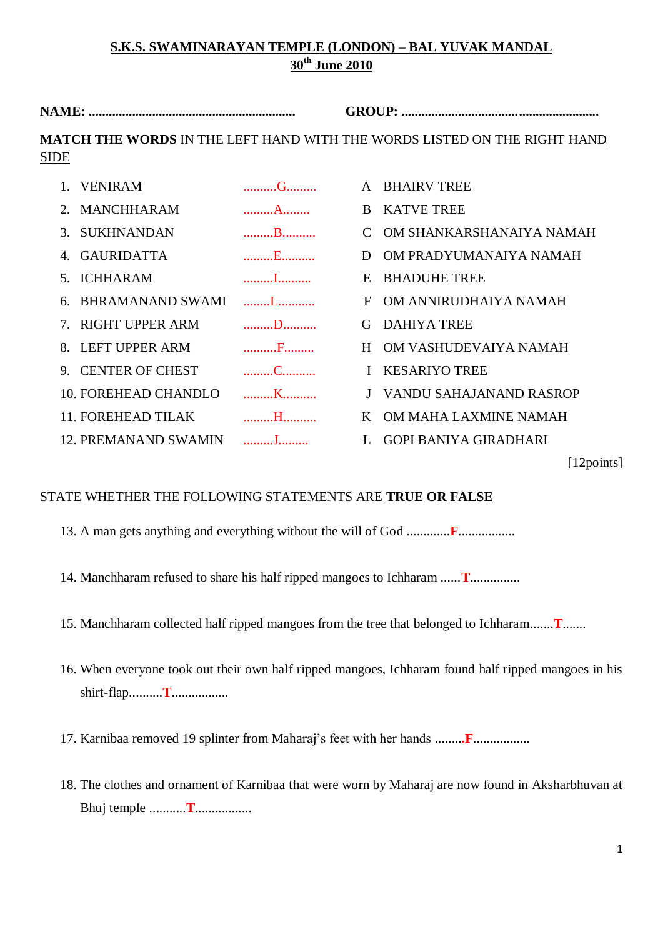**NAME: .............................................................. GROUP: ........................................................... MATCH THE WORDS** IN THE LEFT HAND WITH THE WORDS LISTED ON THE RIGHT HAND SIDE

| 1. VENIRAM                  | $\mathbf{G}_{1},\ldots,\mathbf{G}_{n},\ldots,\mathbf{G}_{n}$                                                                                                                                                                        | A BHAIRV TREE               |
|-----------------------------|-------------------------------------------------------------------------------------------------------------------------------------------------------------------------------------------------------------------------------------|-----------------------------|
| 2. MANCHHARAM               | $\mathbf A$ and $\mathbf A$ and $\mathbf A$                                                                                                                                                                                         | B KATVE TREE                |
| 3. SUKHNANDAN               | B                                                                                                                                                                                                                                   | C OM SHANKARSHANAIYA NAMAH  |
| 4. GAURIDATTA               |                                                                                                                                                                                                                                     | OM PRADYUMANAIYA NAMAH<br>D |
| <b>ICHHARAM</b><br>5.       |                                                                                                                                                                                                                                     | <b>BHADUHE TREE</b><br>E    |
| 6. BHRAMANAND SWAMI         | <u> 1999 - James James Barnett, p</u>                                                                                                                                                                                               | OM ANNIRUDHAIYA NAMAH<br>F  |
| 7. RIGHT UPPER ARM          | $\ldots \ldots \ldots \mathbf{D} \ldots \ldots \mathbf{D}$                                                                                                                                                                          | <b>DAHIYA TREE</b><br>G     |
| 8. LEFT UPPER ARM           |                                                                                                                                                                                                                                     | H OM VASHUDEVAIYA NAMAH     |
| 9. CENTER OF CHEST          | $\ldots \ldots \ldots \ldots$                                                                                                                                                                                                       | <b>KESARIYO TREE</b>        |
| 10. FOREHEAD CHANDLO        | K                                                                                                                                                                                                                                   | J VANDU SAHAJANAND RASROP   |
| 11. FOREHEAD TILAK          | <b>Example 14</b> The Contract of the Contract of the Contract of the Contract of the Contract of the Contract of the Contract of the Contract of the Contract of the Contract of the Contract of the Contract of the Contract of t | K OM MAHA LAXMINE NAMAH     |
| <b>12. PREMANAND SWAMIN</b> | and the property of the property                                                                                                                                                                                                    | GOPI BANIYA GIRADHARI       |

### STATE WHETHER THE FOLLOWING STATEMENTS ARE **TRUE OR FALSE**

13. A man gets anything and everything without the will of God .............**F**.................

14. Manchharam refused to share his half ripped mangoes to Ichharam ......**T**...............

15. Manchharam collected half ripped mangoes from the tree that belonged to Ichharam.......**T**.......

16. When everyone took out their own half ripped mangoes, Ichharam found half ripped mangoes in his shirt-flap..........**T**.................

17. Karnibaa removed 19 splinter from Maharaj's feet with her hands ........**.F**.................

18. The clothes and ornament of Karnibaa that were worn by Maharaj are now found in Aksharbhuvan at Bhuj temple ...........**T**.................

[12points]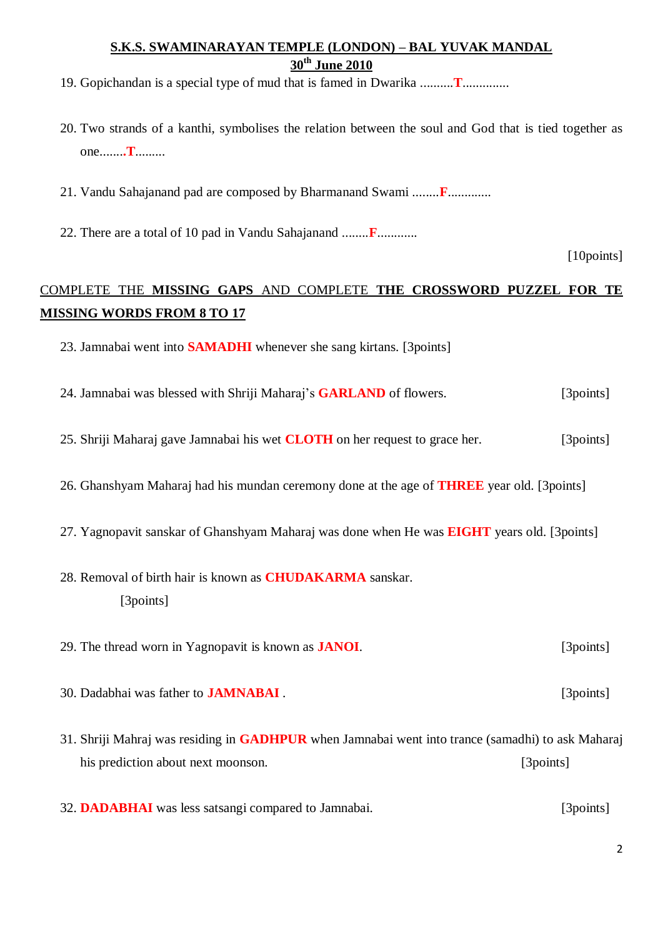- 19. Gopichandan is a special type of mud that is famed in Dwarika ..........**T**..............
- 20. Two strands of a kanthi, symbolises the relation between the soul and God that is tied together as one.......**.T**.........
- 21. Vandu Sahajanand pad are composed by Bharmanand Swami ........**F**.............
- 22. There are a total of 10 pad in Vandu Sahajanand ........**F**............

[10points]

# COMPLETE THE **MISSING GAPS** AND COMPLETE **THE CROSSWORD PUZZEL FOR TE MISSING WORDS FROM 8 TO 17**

- 23. Jamnabai went into **SAMADHI** whenever she sang kirtans. [3points]
- 24. Jamnabai was blessed with Shriji Maharaj's **GARLAND** of flowers. [3points]
- 25. Shriji Maharaj gave Jamnabai his wet **CLOTH** on her request to grace her. [3points]
- 26. Ghanshyam Maharaj had his mundan ceremony done at the age of **THREE** year old. [3points]
- 27. Yagnopavit sanskar of Ghanshyam Maharaj was done when He was **EIGHT** years old. [3points]
- 28. Removal of birth hair is known as **CHUDAKARMA** sanskar. [3points]
- 29. The thread worn in Yagnopavit is known as **JANOI**. [3points]
- 30. Dadabhai was father to **JAMNABAI** . [3points]
- 31. Shriji Mahraj was residing in **GADHPUR** when Jamnabai went into trance (samadhi) to ask Maharaj his prediction about next moonson. [3points]
- 32. **DADABHAI** was less satsangi compared to Jamnabai. [3points]